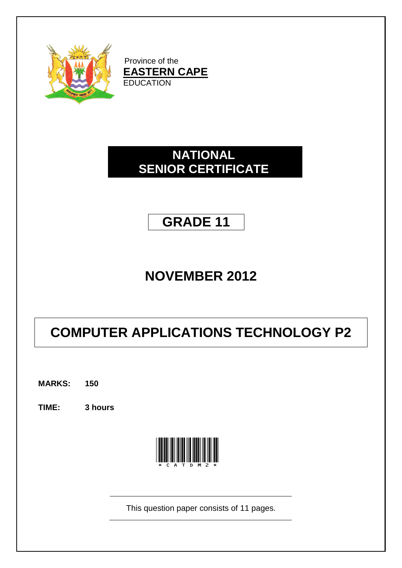

Province of the **EASTERN CAPE EDUCATION** 

## **NATIONAL SENIOR CERTIFICATE**

## **GRADE 11**

## **NOVEMBER 2012**

# **COMPUTER APPLICATIONS TECHNOLOGY P2**

**MARKS: 150**

**TIME: 3 hours**



This question paper consists of 11 pages.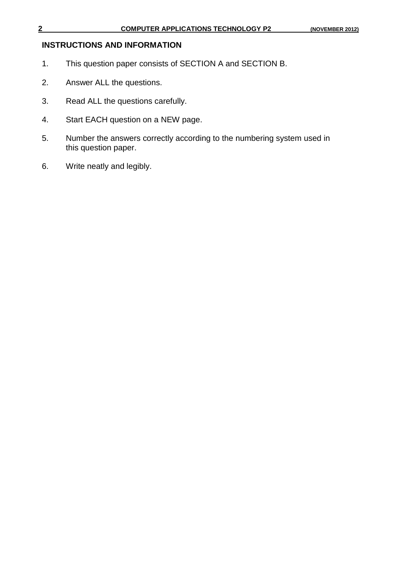## **INSTRUCTIONS AND INFORMATION**

- 1. This question paper consists of SECTION A and SECTION B.
- 2. Answer ALL the questions.
- 3. Read ALL the questions carefully.
- 4. Start EACH question on a NEW page.
- 5. Number the answers correctly according to the numbering system used in this question paper.
- 6. Write neatly and legibly.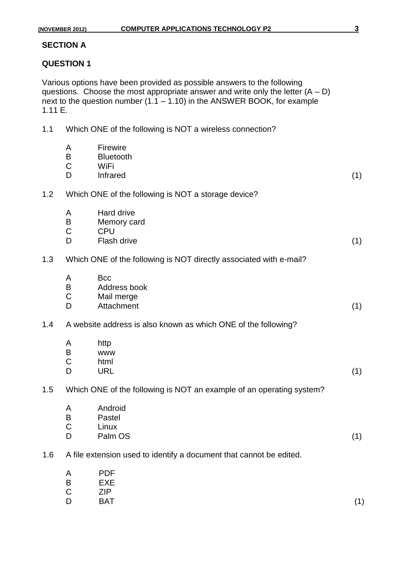#### **SECTION A**

#### **QUESTION 1**

Various options have been provided as possible answers to the following questions. Choose the most appropriate answer and write only the letter  $(A - D)$ next to the question number  $(1.1 - 1.10)$  in the ANSWER BOOK, for example 1.11 E.

1.1 Which ONE of the following is NOT a wireless connection?

|     | A<br>B<br>$\mathsf C$<br>D       | Firewire<br><b>Bluetooth</b><br>WiFi<br>Infrared                     | (1) |
|-----|----------------------------------|----------------------------------------------------------------------|-----|
| 1.2 |                                  | Which ONE of the following is NOT a storage device?                  |     |
|     | A<br>$\sf B$<br>$\mathsf C$<br>D | Hard drive<br>Memory card<br><b>CPU</b><br><b>Flash drive</b>        | (1) |
| 1.3 |                                  | Which ONE of the following is NOT directly associated with e-mail?   |     |
|     | A<br>$\sf B$<br>$\mathsf C$<br>D | <b>Bcc</b><br>Address book<br>Mail merge<br>Attachment               | (1) |
| 1.4 |                                  | A website address is also known as which ONE of the following?       |     |
|     | A<br>B<br>$\mathsf C$<br>D       | http<br><b>WWW</b><br>html<br><b>URL</b>                             | (1) |
| 1.5 |                                  | Which ONE of the following is NOT an example of an operating system? |     |
|     | A<br>B<br>$\mathsf C$<br>D       | Android<br>Pastel<br>Linux<br>Palm OS                                | (1) |
| 1.6 |                                  | A file extension used to identify a document that cannot be edited.  |     |
|     | A                                | <b>PDF</b>                                                           |     |

- 
- B EXE<br>C ZIP **ZIP**
- D BAT (1)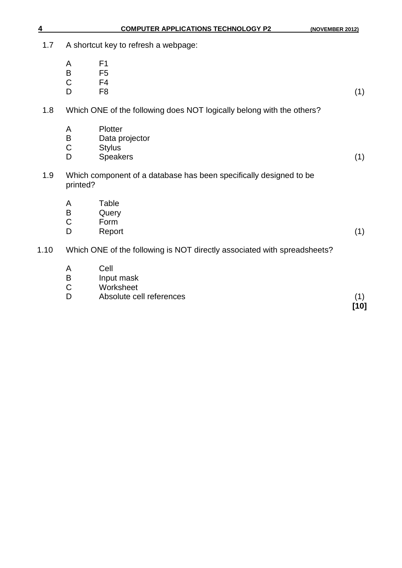| 1.7  |                            | A shortcut key to refresh a webpage:                                     |               |  |  |
|------|----------------------------|--------------------------------------------------------------------------|---------------|--|--|
|      | A<br>B<br>$\mathsf C$<br>D | F <sub>1</sub><br>F <sub>5</sub><br>F <sub>4</sub><br>F <sub>8</sub>     | (1)           |  |  |
| 1.8  |                            | Which ONE of the following does NOT logically belong with the others?    |               |  |  |
|      | A<br>B<br>$\mathsf C$<br>D | Plotter<br>Data projector<br><b>Stylus</b><br><b>Speakers</b>            | (1)           |  |  |
| 1.9  | printed?                   | Which component of a database has been specifically designed to be       |               |  |  |
|      | A<br>B<br>$\mathsf C$<br>D | Table<br>Query<br>Form<br>Report                                         | (1)           |  |  |
| 1.10 |                            | Which ONE of the following is NOT directly associated with spreadsheets? |               |  |  |
|      | A<br>B<br>C<br>D           | Cell<br>Input mask<br>Worksheet<br>Absolute cell references              | (1)<br>$[10]$ |  |  |

**4 COMPUTER APPLICATIONS TECHNOLOGY P2 (NOVEMBER 2012)**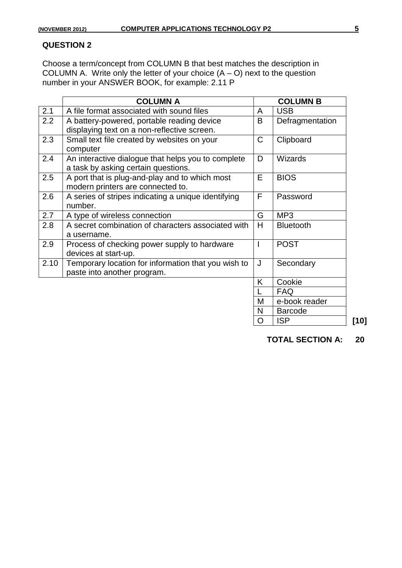Choose a term/concept from COLUMN B that best matches the description in COLUMN A. Write only the letter of your choice (A – O) next to the question number in your ANSWER BOOK, for example: 2.11 P

| <b>COLUMN A</b> |                                                     |             | <b>COLUMN B</b>  |  |
|-----------------|-----------------------------------------------------|-------------|------------------|--|
| 2.1             | A file format associated with sound files           | A           | <b>USB</b>       |  |
| 2.2             | A battery-powered, portable reading device          | B           | Defragmentation  |  |
|                 | displaying text on a non-reflective screen.         |             |                  |  |
| 2.3             | Small text file created by websites on your         | $\mathsf C$ | Clipboard        |  |
|                 | computer                                            |             |                  |  |
| 2.4             | An interactive dialogue that helps you to complete  | D           | <b>Wizards</b>   |  |
|                 | a task by asking certain questions.                 |             |                  |  |
| 2.5             | A port that is plug-and-play and to which most      | E           | <b>BIOS</b>      |  |
|                 | modern printers are connected to.                   |             |                  |  |
| 2.6             | A series of stripes indicating a unique identifying | F           | Password         |  |
|                 | number.                                             |             |                  |  |
| 2.7             | A type of wireless connection                       | G           | MP <sub>3</sub>  |  |
| 2.8             | A secret combination of characters associated with  | H           | <b>Bluetooth</b> |  |
|                 | a username.                                         |             |                  |  |
| 2.9             | Process of checking power supply to hardware        |             | <b>POST</b>      |  |
|                 | devices at start-up.                                |             |                  |  |
| 2.10            | Temporary location for information that you wish to | J           | Secondary        |  |
|                 | paste into another program.                         |             |                  |  |
|                 |                                                     | K           | Cookie           |  |
|                 |                                                     |             | <b>FAQ</b>       |  |
|                 |                                                     | M           | e-book reader    |  |
|                 |                                                     | N           | <b>Barcode</b>   |  |
|                 |                                                     | O           | <b>ISP</b>       |  |

**TOTAL SECTION A: 20**

O ISP **[10]**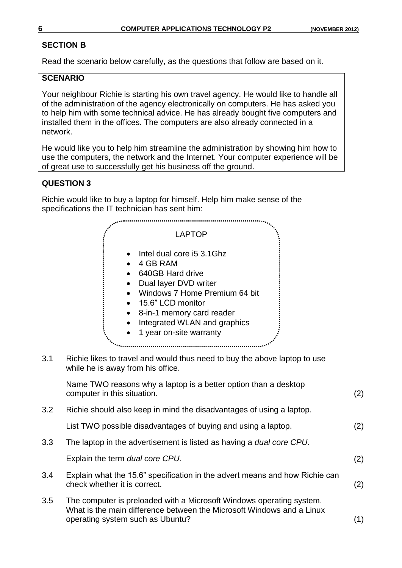### **SECTION B**

Read the scenario below carefully, as the questions that follow are based on it.

### **SCENARIO**

Your neighbour Richie is starting his own travel agency. He would like to handle all of the administration of the agency electronically on computers. He has asked you to help him with some technical advice. He has already bought five computers and installed them in the offices. The computers are also already connected in a network.

He would like you to help him streamline the administration by showing him how to use the computers, the network and the Internet. Your computer experience will be of great use to successfully get his business off the ground.

## **QUESTION 3**

Richie would like to buy a laptop for himself. Help him make sense of the specifications the IT technician has sent him:



| 3.4 | Explain what the 15.6" specification in the advert means and how Richie can |     |  |
|-----|-----------------------------------------------------------------------------|-----|--|
|     | check whether it is correct.                                                | (2) |  |

3.5 The computer is preloaded with a Microsoft Windows operating system. What is the main difference between the Microsoft Windows and a Linux operating system such as Ubuntu? (1)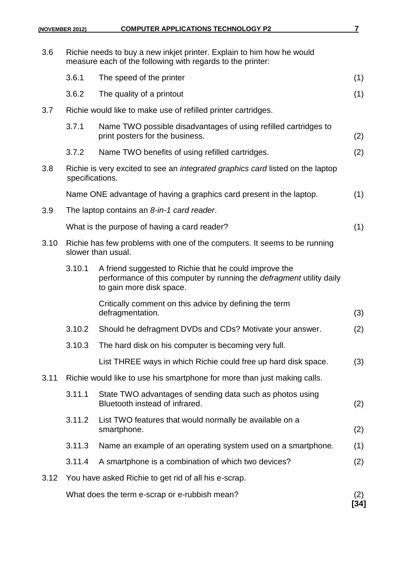| 3.6  |                 | Richie needs to buy a new inkjet printer. Explain to him how he would<br>measure each of the following with regards to the printer:                        |             |
|------|-----------------|------------------------------------------------------------------------------------------------------------------------------------------------------------|-------------|
|      | 3.6.1           | The speed of the printer                                                                                                                                   | (1)         |
|      | 3.6.2           | The quality of a printout                                                                                                                                  | (1)         |
| 3.7  |                 | Richie would like to make use of refilled printer cartridges.                                                                                              |             |
|      | 3.7.1           | Name TWO possible disadvantages of using refilled cartridges to<br>print posters for the business.                                                         | (2)         |
|      | 3.7.2           | Name TWO benefits of using refilled cartridges.                                                                                                            | (2)         |
| 3.8  | specifications. | Richie is very excited to see an <i>integrated graphics card</i> listed on the laptop                                                                      |             |
|      |                 | Name ONE advantage of having a graphics card present in the laptop.                                                                                        | (1)         |
| 3.9  |                 | The laptop contains an 8-in-1 card reader.                                                                                                                 |             |
|      |                 | What is the purpose of having a card reader?                                                                                                               | (1)         |
| 3.10 |                 | Richie has few problems with one of the computers. It seems to be running<br>slower than usual.                                                            |             |
|      | 3.10.1          | A friend suggested to Richie that he could improve the<br>performance of this computer by running the defragment utility daily<br>to gain more disk space. |             |
|      |                 | Critically comment on this advice by defining the term<br>defragmentation.                                                                                 | (3)         |
|      | 3.10.2          | Should he defragment DVDs and CDs? Motivate your answer.                                                                                                   | (2)         |
|      | 3.10.3          | The hard disk on his computer is becoming very full.                                                                                                       |             |
|      |                 | List THREE ways in which Richie could free up hard disk space.                                                                                             | (3)         |
| 3.11 |                 | Richie would like to use his smartphone for more than just making calls.                                                                                   |             |
|      | 3.11.1          | State TWO advantages of sending data such as photos using<br>Bluetooth instead of infrared.                                                                | (2)         |
|      | 3.11.2          | List TWO features that would normally be available on a<br>smartphone.                                                                                     | (2)         |
|      | 3.11.3          | Name an example of an operating system used on a smartphone.                                                                                               | (1)         |
|      | 3.11.4          | A smartphone is a combination of which two devices?                                                                                                        | (2)         |
| 3.12 |                 | You have asked Richie to get rid of all his e-scrap.                                                                                                       |             |
|      |                 | What does the term e-scrap or e-rubbish mean?                                                                                                              | (2)<br>[34] |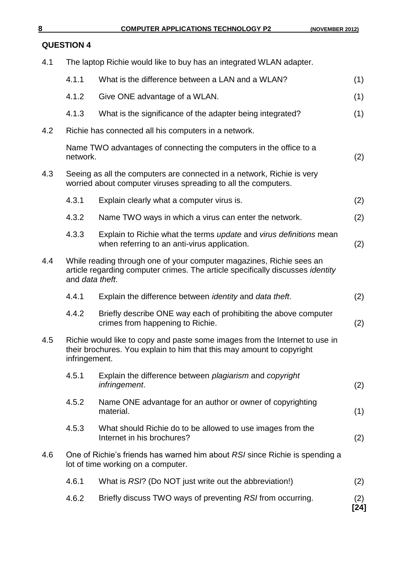| 4.1 |                 | The laptop Richie would like to buy has an integrated WLAN adapter.                                                                                           |             |
|-----|-----------------|---------------------------------------------------------------------------------------------------------------------------------------------------------------|-------------|
|     | 4.1.1           | What is the difference between a LAN and a WLAN?                                                                                                              | (1)         |
|     | 4.1.2           | Give ONE advantage of a WLAN.                                                                                                                                 | (1)         |
|     | 4.1.3           | What is the significance of the adapter being integrated?                                                                                                     | (1)         |
| 4.2 |                 | Richie has connected all his computers in a network.                                                                                                          |             |
|     | network.        | Name TWO advantages of connecting the computers in the office to a                                                                                            | (2)         |
| 4.3 |                 | Seeing as all the computers are connected in a network, Richie is very<br>worried about computer viruses spreading to all the computers.                      |             |
|     | 4.3.1           | Explain clearly what a computer virus is.                                                                                                                     | (2)         |
|     | 4.3.2           | Name TWO ways in which a virus can enter the network.                                                                                                         | (2)         |
|     | 4.3.3           | Explain to Richie what the terms update and virus definitions mean<br>when referring to an anti-virus application.                                            | (2)         |
| 4.4 | and data theft. | While reading through one of your computer magazines, Richie sees an<br>article regarding computer crimes. The article specifically discusses <i>identity</i> |             |
|     | 4.4.1           | Explain the difference between <i>identity</i> and <i>data theft</i> .                                                                                        | (2)         |
|     | 4.4.2           | Briefly describe ONE way each of prohibiting the above computer<br>crimes from happening to Richie.                                                           | (2)         |
| 4.5 | infringement.   | Richie would like to copy and paste some images from the Internet to use in<br>their brochures. You explain to him that this may amount to copyright          |             |
|     | 4.5.1           | Explain the difference between plagiarism and copyright<br>infringement.                                                                                      | (2)         |
|     | 4.5.2           | Name ONE advantage for an author or owner of copyrighting<br>material.                                                                                        | (1)         |
|     | 4.5.3           | What should Richie do to be allowed to use images from the<br>Internet in his brochures?                                                                      | (2)         |
| 4.6 |                 | One of Richie's friends has warned him about RSI since Richie is spending a<br>lot of time working on a computer.                                             |             |
|     | 4.6.1           | What is RSI? (Do NOT just write out the abbreviation!)                                                                                                        | (2)         |
|     | 4.6.2           | Briefly discuss TWO ways of preventing RSI from occurring.                                                                                                    | (2)<br>[24] |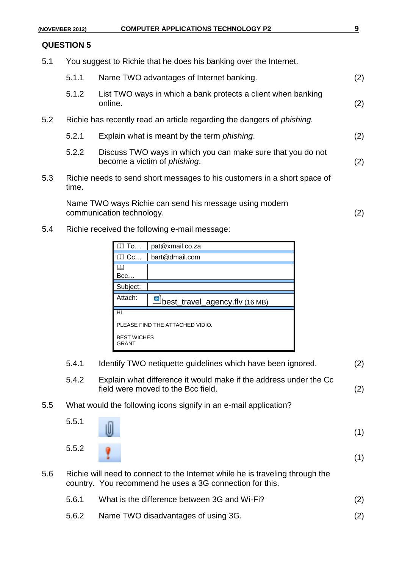5.1 You suggest to Richie that he does his banking over the Internet.

|     | 5.1.1 | Name TWO advantages of Internet banking.                                                            | (2) |
|-----|-------|-----------------------------------------------------------------------------------------------------|-----|
|     | 5.1.2 | List TWO ways in which a bank protects a client when banking<br>online.                             | (2) |
| 5.2 |       | Richie has recently read an article regarding the dangers of <i>phishing</i> .                      |     |
|     | 5.2.1 | Explain what is meant by the term <i>phishing</i> .                                                 | (2) |
|     | 5.2.2 | Discuss TWO ways in which you can make sure that you do not<br>become a victim of <i>phishing</i> . | (2) |
| 5.3 | time. | Richie needs to send short messages to his customers in a short space of                            |     |
|     |       |                                                                                                     |     |

Name TWO ways Richie can send his message using modern communication technology. (2)

5.4 Richie received the following e-mail message:

| To                                             | pat@xmail.co.za |  |  |  |
|------------------------------------------------|-----------------|--|--|--|
| <b>l Cc…</b>                                   | bart@dmail.com  |  |  |  |
| Bcc                                            |                 |  |  |  |
| Subject:                                       |                 |  |  |  |
| Attach:<br>曑<br>best_travel_agency.flv (16 MB) |                 |  |  |  |
| HI                                             |                 |  |  |  |
| PLEASE FIND THE ATTACHED VIDIO.                |                 |  |  |  |
| <b>BEST WICHES</b><br>GRANT                    |                 |  |  |  |

- 5.4.1 Identify TWO netiquette guidelines which have been ignored. (2) 5.4.2 Explain what difference it would make if the address under the Cc field were moved to the Bcc field. (2) 5.5 What would the following icons signify in an e-mail application? 5.5.1 (1) 5.5.2 (1) 5.6 Richie will need to connect to the Internet while he is traveling through the country. You recommend he uses a 3G connection for this.
	- 5.6.1 What is the difference between 3G and Wi-Fi? (2)
	- 5.6.2 Name TWO disadvantages of using 3G. (2)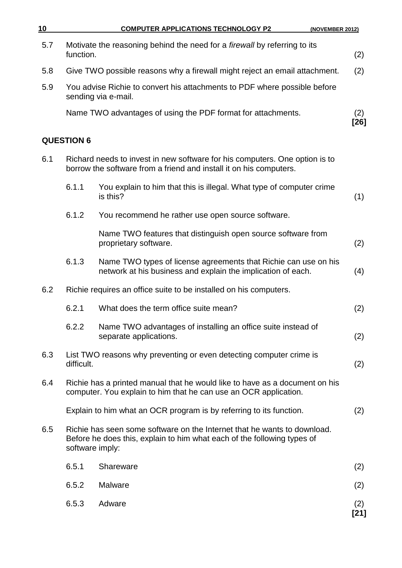| 10  |                   | <b>COMPUTER APPLICATIONS TECHNOLOGY P2</b><br>(NOVEMBER 2012)                                                                                       |               |
|-----|-------------------|-----------------------------------------------------------------------------------------------------------------------------------------------------|---------------|
| 5.7 | function.         | Motivate the reasoning behind the need for a <i>firewall</i> by referring to its                                                                    | (2)           |
| 5.8 |                   | Give TWO possible reasons why a firewall might reject an email attachment.                                                                          | (2)           |
| 5.9 |                   | You advise Richie to convert his attachments to PDF where possible before<br>sending via e-mail.                                                    |               |
|     |                   | Name TWO advantages of using the PDF format for attachments.                                                                                        | (2)<br>[26]   |
|     | <b>QUESTION 6</b> |                                                                                                                                                     |               |
| 6.1 |                   | Richard needs to invest in new software for his computers. One option is to<br>borrow the software from a friend and install it on his computers.   |               |
|     | 6.1.1             | You explain to him that this is illegal. What type of computer crime<br>is this?                                                                    | (1)           |
|     | 6.1.2             | You recommend he rather use open source software.                                                                                                   |               |
|     |                   | Name TWO features that distinguish open source software from<br>proprietary software.                                                               | (2)           |
|     | 6.1.3             | Name TWO types of license agreements that Richie can use on his<br>network at his business and explain the implication of each.                     | (4)           |
| 6.2 |                   | Richie requires an office suite to be installed on his computers.                                                                                   |               |
|     | 6.2.1             | What does the term office suite mean?                                                                                                               | (2)           |
|     | 6.2.2             | Name TWO advantages of installing an office suite instead of<br>separate applications.                                                              | (2)           |
| 6.3 | difficult.        | List TWO reasons why preventing or even detecting computer crime is                                                                                 | (2)           |
| 6.4 |                   | Richie has a printed manual that he would like to have as a document on his<br>computer. You explain to him that he can use an OCR application.     |               |
|     |                   | Explain to him what an OCR program is by referring to its function.                                                                                 | (2)           |
| 6.5 | software imply:   | Richie has seen some software on the Internet that he wants to download.<br>Before he does this, explain to him what each of the following types of |               |
|     | 6.5.1             | Shareware                                                                                                                                           | (2)           |
|     | 6.5.2             | Malware                                                                                                                                             | (2)           |
|     | 6.5.3             | Adware                                                                                                                                              | (2)<br>$[21]$ |